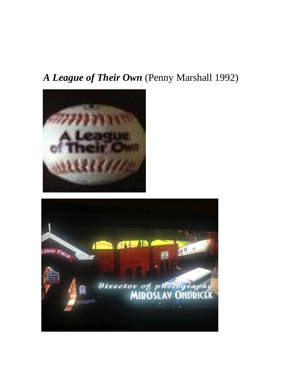## *A League of Their Own* (Penny Marshall 1992)



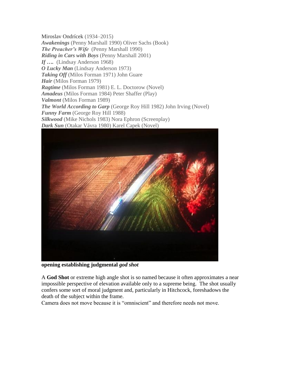Miroslav Ondrícek (1934–2015) *Awakenings* (Penny Marshall 1990) Oliver Sachs (Book) *The Preacher's Wife* (Penny Marshall 1990) *Riding in Cars with Boys* (Penny Marshall 2001) *If ….* (Lindsay Anderson 1968) *O Lucky Man* (Lindsay Anderson 1973) *Taking Off* (Milos Forman 1971) John Guare *Hair* (Milos Forman 1979) *Ragtime* (Milos Forman 1981) E. L. Doctorow (Novel) *Amadeus* (Milos Forman 1984) Peter Shaffer (Play) *Valmont* (Milos Forman 1989) *The World According to Garp* (George Roy Hill 1982) John Irving (Novel) *Funny Farm* (George Roy Hill 1988) *Silkwood* (Mike Nichols 1983) Nora Ephron (Screenplay) *Dark Sun* (Otakar Vávra 1980) Karel Capek (Novel)



**opening establishing judgmental** *god shot*

A **God Shot** or extreme high angle shot is so named because it often approximates a near impossible perspective of elevation available only to a supreme being. The shot usually confers some sort of moral judgment and, particularly in Hitchcock, foreshadows the death of the subject within the frame.

Camera does not move because it is "omniscient" and therefore needs not move.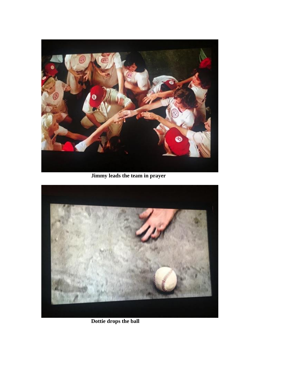

**Jimmy leads the team in prayer**



**Dottie drops the ball**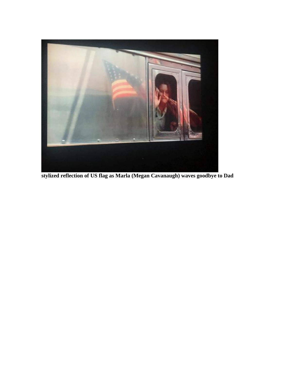

**stylized reflection of US flag as Marla (Megan Cavanaugh) waves goodbye to Dad**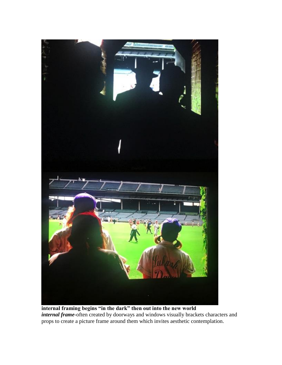

**internal framing begins "in the dark" then out into the new world** *internal frame*-often created by doorways and windows visually brackets characters and props to create a picture frame around them which invites aesthetic contemplation.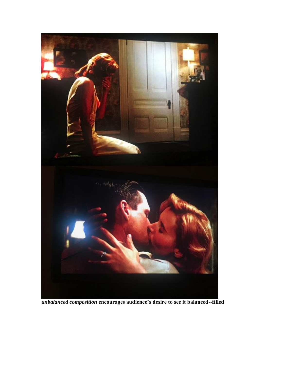

*unbalanced composition* **encourages audience's desire to see it balanced--filled**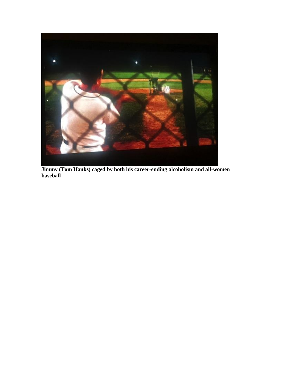

**Jimmy (Tom Hanks) caged by both his career-ending alcoholism and all-women baseball**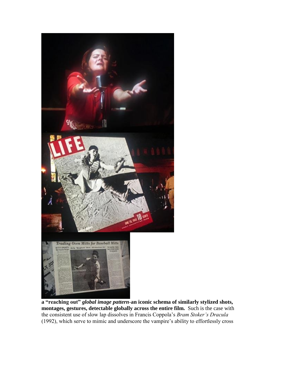

**a "reaching out"** *global image pattern*-**an iconic schema of similarly stylized shots, montages, gestures, detectable globally across the entire film.** Such is the case with the consistent use of slow lap dissolves in Francis Coppola's *Bram Stoker's Dracula*  (1992), which serve to mimic and underscore the vampire's ability to effortlessly cross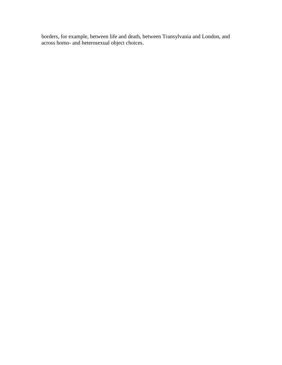borders, for example, between life and death, between Transylvania and London, and across homo- and heterosexual object choices.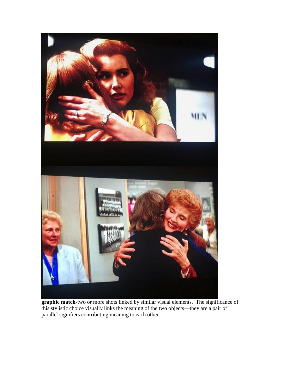

**graphic match-**two or more shots linked by similar visual elements. The significance of this stylistic choice visually links the meaning of the two objects—they are a pair of parallel signifiers contributing meaning to each other.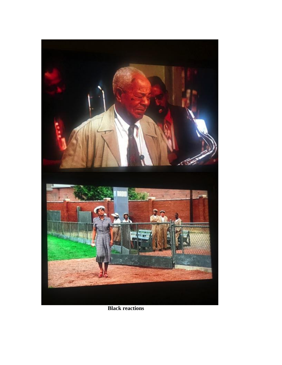

**Black reactions**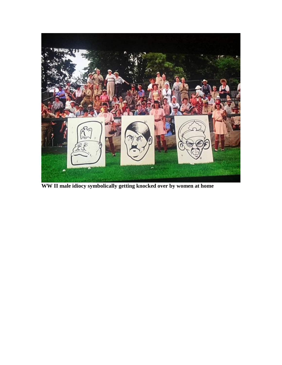

**WW II male idiocy symbolically getting knocked over by women at home**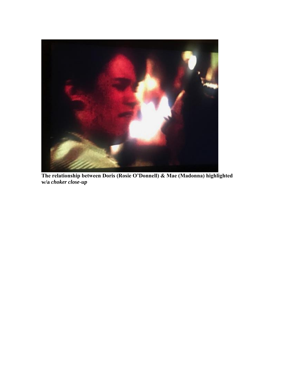

**The relationship between Doris (Rosie O'Donnell) & Mae (Madonna) highlighted w/a** *choker close-up*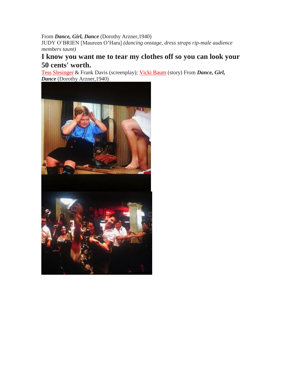## From *Dance, Girl, Dance* (Dorothy Arzner,1940)

JUDY O'BRIEN [Maureen O'Hara] *(dancing onstage, dress straps rip-male audience members taunt)*

## **I know you want me to tear my clothes off so you can look your 50 cents' worth.**

[Tess Slesinger](http://www.imdb.com/name/nm0805756/?ref_=ttfc_fc_wr1) & Frank Davis (screenplay); [Vicki Baum](http://www.imdb.com/name/nm0062139/?ref_=ttfc_fc_wr3) (story) From *Dance, Girl, Dance* (Dorothy Arzner,1940)

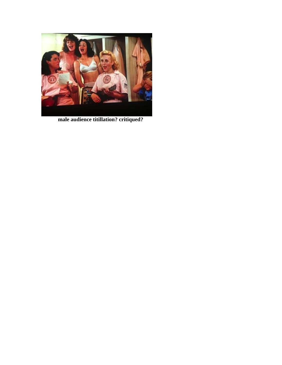

**male audience titillation? critiqued?**